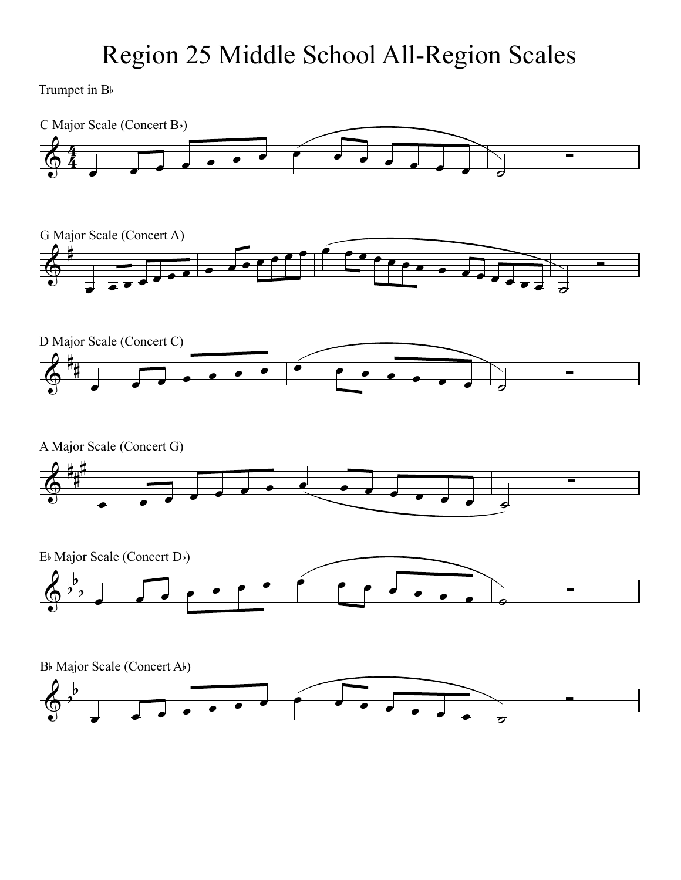Trumpet in B